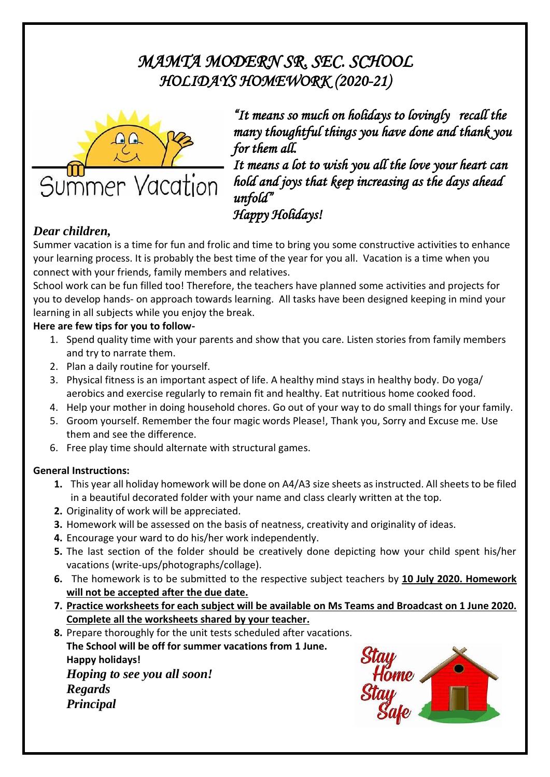# *MAMTA MODERN SR. SEC. SCHOOL HOLIDAYS HOMEWORK (2020-21)*



*"It means so much on holidays to lovingly recall the many thoughtful things you have done and thank you for them all.* 

*It means a lot to wish you all the love your heart can hold and joys that keep increasing as the days ahead unfold"* 

## *Happy Holidays!*

#### *Dear children,*

Summer vacation is a time for fun and frolic and time to bring you some constructive activities to enhance your learning process. It is probably the best time of the year for you all. Vacation is a time when you connect with your friends, family members and relatives.

School work can be fun filled too! Therefore, the teachers have planned some activities and projects for you to develop hands- on approach towards learning. All tasks have been designed keeping in mind your learning in all subjects while you enjoy the break.

#### **Here are few tips for you to follow-**

- 1. Spend quality time with your parents and show that you care. Listen stories from family members and try to narrate them.
- 2. Plan a daily routine for yourself.
- 3. Physical fitness is an important aspect of life. A healthy mind stays in healthy body. Do yoga/ aerobics and exercise regularly to remain fit and healthy. Eat nutritious home cooked food.
- 4. Help your mother in doing household chores. Go out of your way to do small things for your family.
- 5. Groom yourself. Remember the four magic words Please!, Thank you, Sorry and Excuse me. Use them and see the difference.
- 6. Free play time should alternate with structural games.

#### **General Instructions:**

- **1.** This year all holiday homework will be done on A4/A3 size sheets as instructed. All sheets to be filed in a beautiful decorated folder with your name and class clearly written at the top.
- **2.** Originality of work will be appreciated.
- **3.** Homework will be assessed on the basis of neatness, creativity and originality of ideas.
- **4.** Encourage your ward to do his/her work independently.
- **5.** The last section of the folder should be creatively done depicting how your child spent his/her vacations (write-ups/photographs/collage).
- **6.** The homework is to be submitted to the respective subject teachers by **10 July 2020. Homework will not be accepted after the due date.**
- **7. Practice worksheets for each subject will be available on Ms Teams and Broadcast on 1 June 2020. Complete all the worksheets shared by your teacher.**

**8.** Prepare thoroughly for the unit tests scheduled after vacations. **The School will be off for summer vacations from 1 June. Happy holidays!** *Hoping to see you all soon! Regards Principal*

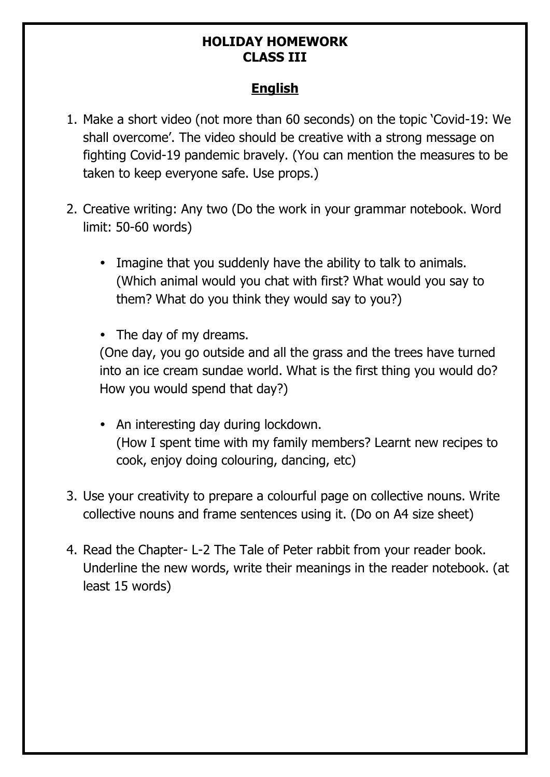### **HOLIDAY HOMEWORK CLASS III**

### **English**

- 1. Make a short video (not more than 60 seconds) on the topic 'Covid-19: We shall overcome'. The video should be creative with a strong message on fighting Covid-19 pandemic bravely. (You can mention the measures to be taken to keep everyone safe. Use props.)
- 2. Creative writing: Any two (Do the work in your grammar notebook. Word limit: 50-60 words)
	- Imagine that you suddenly have the ability to talk to animals. (Which animal would you chat with first? What would you say to them? What do you think they would say to you?)
	- The day of my dreams.

(One day, you go outside and all the grass and the trees have turned into an ice cream sundae world. What is the first thing you would do? How you would spend that day?)

- An interesting day during lockdown. (How I spent time with my family members? Learnt new recipes to cook, enjoy doing colouring, dancing, etc)
- 3. Use your creativity to prepare a colourful page on collective nouns. Write collective nouns and frame sentences using it. (Do on A4 size sheet)
- 4. Read the Chapter- L-2 The Tale of Peter rabbit from your reader book. Underline the new words, write their meanings in the reader notebook. (at least 15 words)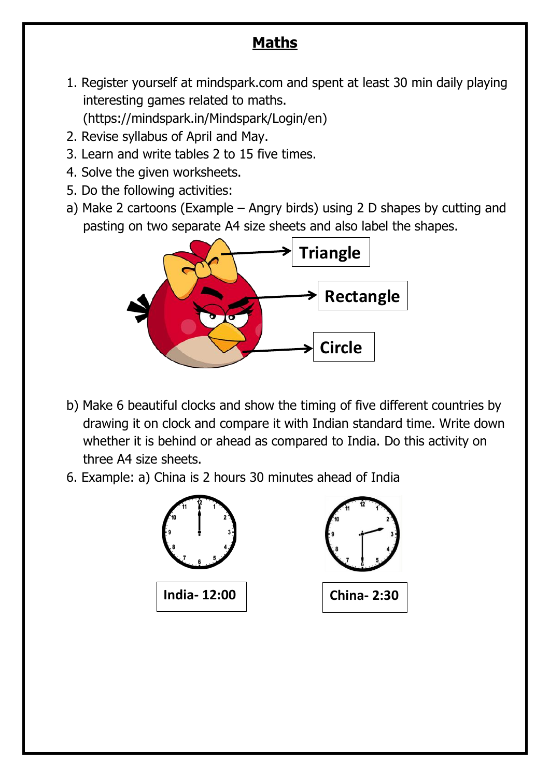# **Maths**

- 1. Register yourself at mindspark.com and spent at least 30 min daily playing interesting games related to maths. (https://mindspark.in/Mindspark/Login/en)
- 2. Revise syllabus of April and May.
- 3. Learn and write tables 2 to 15 five times.
- 4. Solve the given worksheets.
- 5. Do the following activities:
- a) Make 2 cartoons (Example Angry birds) using 2 D shapes by cutting and pasting on two separate A4 size sheets and also label the shapes.



- b) Make 6 beautiful clocks and show the timing of five different countries by drawing it on clock and compare it with Indian standard time. Write down whether it is behind or ahead as compared to India. Do this activity on three A4 size sheets.
- 6. Example: a) China is 2 hours 30 minutes ahead of India

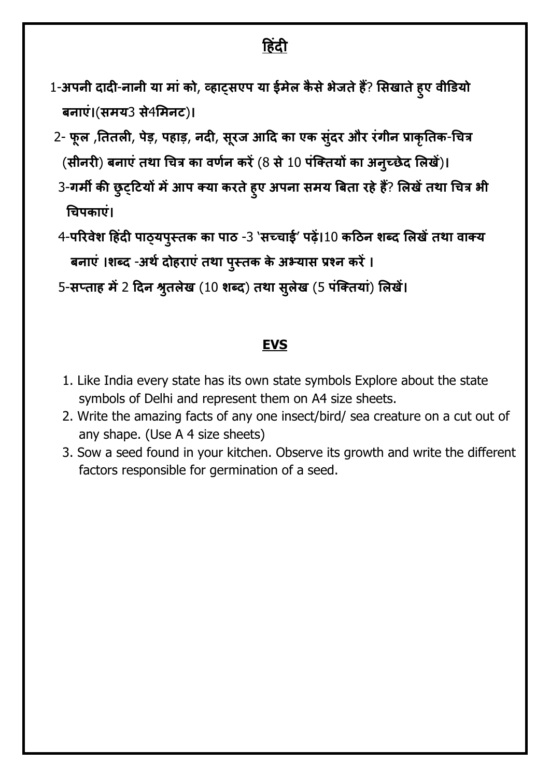# **ह िंदी**

- 1-अपनी दादी-नानी या मां को, व्हाट्सएप या ईमेल कैसे भेजते हैं? सिखाते हुए वीडियो बनाएां।(समय3 से4समनट)।
- 2- फूल ,तितली, पेड़, पहाड़, नदी, सूरज आदि का एक सुंदर और रंगीन प्राकृतिक-चित्र (सीनरी) बनाएं तथा चित्र का वर्णन करें (8 से 10 पंक्तियों का अनुच्छेद लिखें)।
- 3-गर्मी की छुट्टियों में आप क्या करते हुए अपना समय बिता रहे हैं? लिखें तथा चित्र भी चिपकाएां।
- 4-परिवेश हिंदी पाठ्यपुस्तक का पाठ -3 'सच्चाई' पढ़ें।10 कठिन शब्द लिखें तथा वाक्य बनाएं ।शब्द -अर्थ दोहराएं तथा पुस्तक के अभ्यास प्रश्न करें ।
- 5-सप्ताह में 2 दिन श्रुतलेख (10 शब्द) तथा सुलेख (5 पंक्तियां) लिखें।

#### **EVS**

- 1. Like India every state has its own state symbols Explore about the state symbols of Delhi and represent them on A4 size sheets.
- 2. Write the amazing facts of any one insect/bird/ sea creature on a cut out of any shape. (Use A 4 size sheets)
- 3. Sow a seed found in your kitchen. Observe its growth and write the different factors responsible for germination of a seed.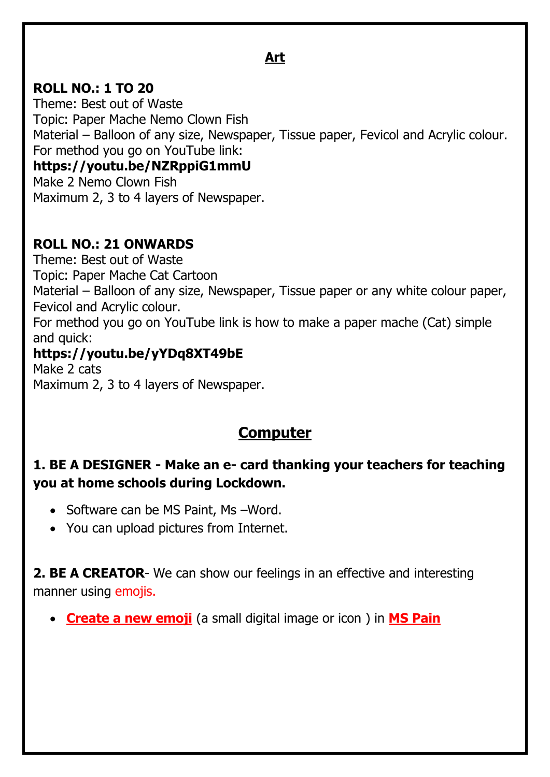## **Art**

### **ROLL NO.: 1 TO 20**

Theme: Best out of Waste Topic: Paper Mache Nemo Clown Fish Material – Balloon of any size, Newspaper, Tissue paper, Fevicol and Acrylic colour. For method you go on YouTube link: **https://youtu.be/NZRppiG1mmU** Make 2 Nemo Clown Fish

Maximum 2, 3 to 4 layers of Newspaper.

### **ROLL NO.: 21 ONWARDS**

Theme: Best out of Waste Topic: Paper Mache Cat Cartoon Material – Balloon of any size, Newspaper, Tissue paper or any white colour paper, Fevicol and Acrylic colour. For method you go on YouTube link is how to make a paper mache (Cat) simple and quick:

### **https://youtu.be/yYDq8XT49bE**

Make 2 cats Maximum 2, 3 to 4 layers of Newspaper.

# **Computer**

## **1. BE A DESIGNER - Make an e- card thanking your teachers for teaching you at home schools during Lockdown.**

- Software can be MS Paint, Ms Word.
- You can upload pictures from Internet.

**2. BE A CREATOR**- We can show our feelings in an effective and interesting manner using emojis.

• **Create a new emoji** (a small digital image or icon ) in **MS Pain**